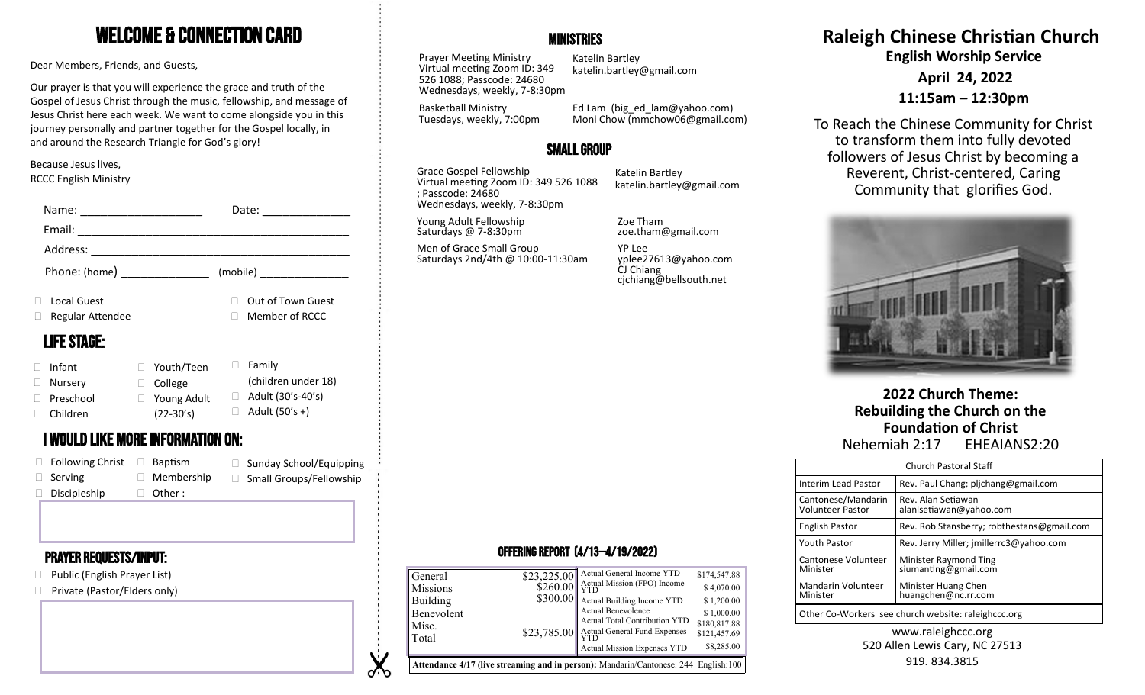# Welcome & Connection Card

Dear Members, Friends, and Guests,

Our prayer is that you will experience the grace and truth of the Gospel of Jesus Christ through the music, fellowship, and message of Jesus Christ here each week. We want to come alongside you in this journey personally and partner together for the Gospel locally, in and around the Research Triangle for God's glory!

#### Because Jesus lives, RCCC English Ministry

| Name:                        |                                   | Date:                             | Wednesdays, weekly, 7-8:30pm                                |                                |                     |                                     |                              |  |
|------------------------------|-----------------------------------|-----------------------------------|-------------------------------------------------------------|--------------------------------|---------------------|-------------------------------------|------------------------------|--|
| Email:                       |                                   |                                   | Young Adult Fellowship<br>Saturdays @ 7-8:30pm              | Zoe Tham<br>zoe.tham@gmail.com |                     |                                     |                              |  |
| Address:                     |                                   |                                   | Men of Grace Small Group                                    | YP Lee                         |                     |                                     |                              |  |
| (mobile)<br>Phone: (home)    |                                   | Saturdays 2nd/4th @ 10:00-11:30am | yplee27613@yahoo.com<br>CJ Chiang<br>cjchiang@bellsouth.net |                                |                     |                                     |                              |  |
| Local Guest                  |                                   | Out of Town Guest                 |                                                             |                                |                     |                                     |                              |  |
| Regular Attendee             |                                   | Member of RCCC                    |                                                             |                                |                     |                                     |                              |  |
| <b>LIFE STAGE:</b><br>Infant | □ Youth/Teen                      | $\Box$ Family                     |                                                             |                                |                     |                                     |                              |  |
| Nursery                      | $\Box$ College                    | (children under 18)               |                                                             |                                |                     |                                     |                              |  |
| Preschool                    | $\Box$ Young Adult                | $\Box$ Adult (30's-40's)          |                                                             |                                |                     |                                     | 2022 Church Theme:           |  |
| Children                     | $(22-30's)$                       | $\Box$ Adult (50's +)             |                                                             |                                |                     |                                     | Rebuilding the Church on the |  |
|                              |                                   |                                   |                                                             |                                |                     |                                     | <b>Foundation of Christ</b>  |  |
|                              | I WOULD LIKE MORE INFORMATION ON: |                                   |                                                             |                                |                     | Nehemiah 2:17                       | EHEAIANS2:20                 |  |
| <b>Following Christ</b>      | Baptism<br>$\Box$                 | □ Sunday School/Equipping         |                                                             |                                |                     | Church Pastoral Staff               |                              |  |
| Serving                      | $\Box$ Membership                 | Small Groups/Fellowship           |                                                             |                                | Interim Lead Pastor | Rev. Paul Chang; pljchang@gmail.com |                              |  |
| Discipleship                 | Other :                           |                                   |                                                             |                                |                     |                                     |                              |  |

### Prayer requests/Input:

- □ Public (English Prayer List)
- □ Private (Pastor/Elders only)

### **MINISTRIES**

Prayer Meeting Ministry Virtual meeting Zoom ID: 349 526 1088; Passcode: 24680 Wednesdays, weekly, 7-8:30pm

Basketball Ministry

Katelin Bartley katelin.bartley@gmail.com

Tuesdays, weekly, 7:00pm Ed Lam (big\_ed\_lam@yahoo.com) Moni Chow (mmchow06@gmail.com)

## Small Group

Grace Gospel Fellowship Virtual meeting Zoom ID: 349 526 1088 ; Passcode: 24680 Wednesdays, weekly, 7-8:30pm

Ń ৵৲ Katelin Bartley katelin.bartley@gmail.com

## **Raleigh Chinese Christian Church English Worship Service**

**April 24, 2022**

### **11:15am – 12:30pm**

To Reach the Chinese Community for Christ to transform them into fully devoted followers of Jesus Christ by becoming a Reverent, Christ-centered, Caring Community that glorifies God.



# **2022 Church Theme: Rebuilding the Church on the Foundation of Christ**<br>Nehemiah 2:17 EHEAIANS2:20

| <b>Church Pastoral Staff</b>                        |                                                      |  |  |  |  |
|-----------------------------------------------------|------------------------------------------------------|--|--|--|--|
| Interim Lead Pastor                                 | Rev. Paul Chang; plichang@gmail.com                  |  |  |  |  |
| Cantonese/Mandarin<br><b>Volunteer Pastor</b>       | Rev. Alan Setiawan<br>alanlsetiawan@yahoo.com        |  |  |  |  |
| English Pastor                                      | Rev. Rob Stansberry; robthestans@gmail.com           |  |  |  |  |
| <b>Youth Pastor</b>                                 | Rev. Jerry Miller; jmillerrc3@yahoo.com              |  |  |  |  |
| Cantonese Volunteer<br>Minister                     | <b>Minister Raymond Ting</b><br>siumanting@gmail.com |  |  |  |  |
| <b>Mandarin Volunteer</b><br>Minister               | Minister Huang Chen<br>huangchen@nc.rr.com           |  |  |  |  |
| Other Co-Workers see church website: raleighccc.org |                                                      |  |  |  |  |

### www.raleighccc.org 520 Allen Lewis Cary, NC 27513 919.834.3815

### Offering Report (4/13—4/19/2022)

| Misc.<br>Actual General Fund Expenses<br>YTD<br>\$23,785.00<br>Total<br>Actual Mission Expenses YTD | \$180,817.88<br>\$121,457.69<br>\$8,285.00 |
|-----------------------------------------------------------------------------------------------------|--------------------------------------------|
| Actual Benevolence<br>Benevolent<br>Actual Total Contribution YTD                                   | \$1,000.00                                 |
| \$300.00<br>Actual Building Income YTD<br>Building                                                  | \$1,200.00                                 |
| $$260.00$ Actual Mission (FPO) Income<br><b>Missions</b>                                            | \$4,070.00                                 |
| Actual General Income YTD<br>\$23,225.00<br>General                                                 | \$174,547.88                               |